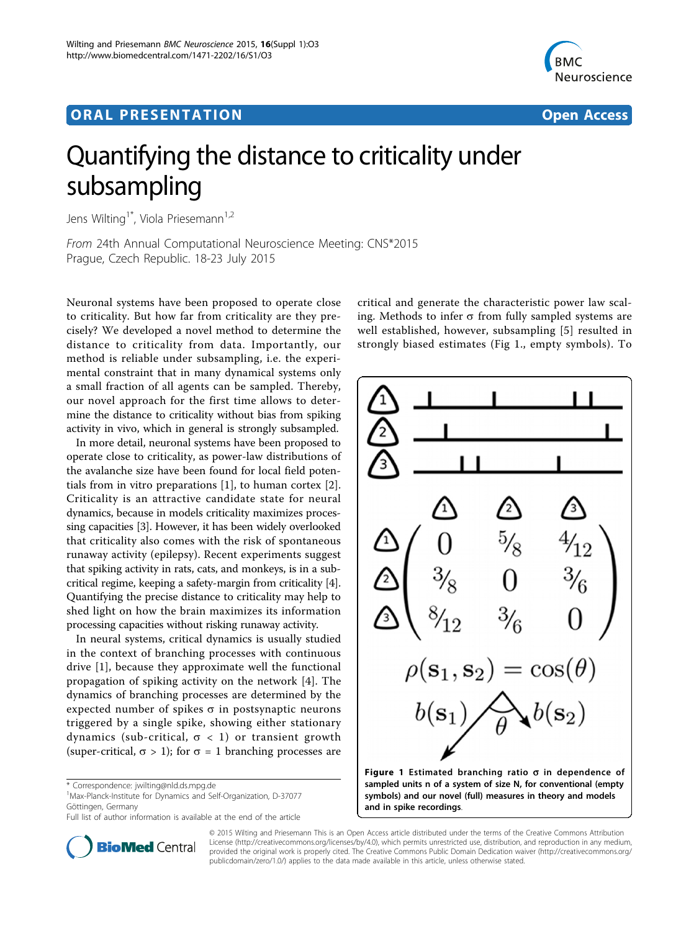## ORA L PR E S EN TA TION OPEN ACCESS OF THE SERVICE OF THE SERVICE OF THE SERVICE OF THE SERVICE OF THE SERVICE



# Quantifying the distance to criticality under subsampling

Jens Wilting<sup>1\*</sup>, Viola Priesemann<sup>1,2</sup>

From 24th Annual Computational Neuroscience Meeting: CNS\*2015 Prague, Czech Republic. 18-23 July 2015

Neuronal systems have been proposed to operate close to criticality. But how far from criticality are they precisely? We developed a novel method to determine the distance to criticality from data. Importantly, our method is reliable under subsampling, i.e. the experimental constraint that in many dynamical systems only a small fraction of all agents can be sampled. Thereby, our novel approach for the first time allows to determine the distance to criticality without bias from spiking activity in vivo, which in general is strongly subsampled.

In more detail, neuronal systems have been proposed to operate close to criticality, as power-law distributions of the avalanche size have been found for local field potentials from in vitro preparations [\[1](#page-1-0)], to human cortex [\[2](#page-1-0)]. Criticality is an attractive candidate state for neural dynamics, because in models criticality maximizes processing capacities [[3](#page-1-0)]. However, it has been widely overlooked that criticality also comes with the risk of spontaneous runaway activity (epilepsy). Recent experiments suggest that spiking activity in rats, cats, and monkeys, is in a subcritical regime, keeping a safety-margin from criticality [[4](#page-1-0)]. Quantifying the precise distance to criticality may help to shed light on how the brain maximizes its information processing capacities without risking runaway activity.

In neural systems, critical dynamics is usually studied in the context of branching processes with continuous drive [\[1](#page-1-0)], because they approximate well the functional propagation of spiking activity on the network [\[4](#page-1-0)]. The dynamics of branching processes are determined by the expected number of spikes  $\sigma$  in postsynaptic neurons triggered by a single spike, showing either stationary dynamics (sub-critical,  $\sigma$  < 1) or transient growth (super-critical,  $\sigma > 1$ ); for  $\sigma = 1$  branching processes are

1 Max-Planck-Institute for Dynamics and Self-Organization, D-37077 Göttingen, Germany

Full list of author information is available at the end of the article



critical and generate the characteristic power law scaling. Methods to infer  $\sigma$  from fully sampled systems are well established, however, subsampling [[5\]](#page-1-0) resulted in strongly biased estimates (Fig 1., empty symbols). To



sampled units n of a system of size N, for conventional (empty symbols) and our novel (full) measures in theory and models and in spike recordings.

© 2015 Wilting and Priesemann This is an Open Access article distributed under the terms of the Creative Commons Attribution License [\(http://creativecommons.org/licenses/by/4.0](http://creativecommons.org/licenses/by/4.0)), which permits unrestricted use, distribution, and reproduction in any medium, provided the original work is properly cited. The Creative Commons Public Domain Dedication waiver ([http://creativecommons.org/](http://creativecommons.org/publicdomain/zero/1.0/) [publicdomain/zero/1.0/](http://creativecommons.org/publicdomain/zero/1.0/)) applies to the data made available in this article, unless otherwise stated.

<sup>\*</sup> Correspondence: [jwilting@nld.ds.mpg.de](mailto:jwilting@nld.ds.mpg.de)